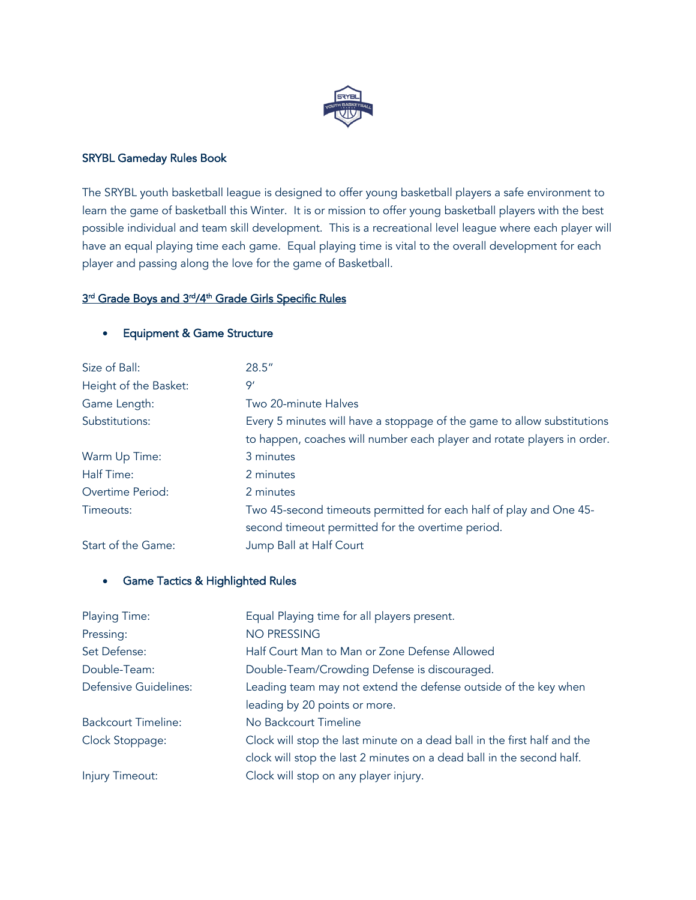

### SRYBL Gameday Rules Book

The SRYBL youth basketball league is designed to offer young basketball players a safe environment to learn the game of basketball this Winter. It is or mission to offer young basketball players with the best possible individual and team skill development. This is a recreational level league where each player will have an equal playing time each game. Equal playing time is vital to the overall development for each player and passing along the love for the game of Basketball.

### 3<sup>rd</sup> Grade Boys and 3<sup>rd</sup>/4<sup>th</sup> Grade Girls Specific Rules

### • Equipment & Game Structure

| Size of Ball:         | 28.5''                                                                  |
|-----------------------|-------------------------------------------------------------------------|
| Height of the Basket: | 9'                                                                      |
| Game Length:          | Two 20-minute Halves                                                    |
| Substitutions:        | Every 5 minutes will have a stoppage of the game to allow substitutions |
|                       | to happen, coaches will number each player and rotate players in order. |
| Warm Up Time:         | 3 minutes                                                               |
| Half Time:            | 2 minutes                                                               |
| Overtime Period:      | 2 minutes                                                               |
| Timeouts:             | Two 45-second timeouts permitted for each half of play and One 45-      |
|                       | second timeout permitted for the overtime period.                       |
| Start of the Game:    | Jump Ball at Half Court                                                 |

### • Game Tactics & Highlighted Rules

| <b>Playing Time:</b>         | Equal Playing time for all players present.                              |
|------------------------------|--------------------------------------------------------------------------|
| Pressing:                    | <b>NO PRESSING</b>                                                       |
| Set Defense:                 | Half Court Man to Man or Zone Defense Allowed                            |
| Double-Team:                 | Double-Team/Crowding Defense is discouraged.                             |
| <b>Defensive Guidelines:</b> | Leading team may not extend the defense outside of the key when          |
|                              | leading by 20 points or more.                                            |
| <b>Backcourt Timeline:</b>   | No Backcourt Timeline                                                    |
| Clock Stoppage:              | Clock will stop the last minute on a dead ball in the first half and the |
|                              | clock will stop the last 2 minutes on a dead ball in the second half.    |
| Injury Timeout:              | Clock will stop on any player injury.                                    |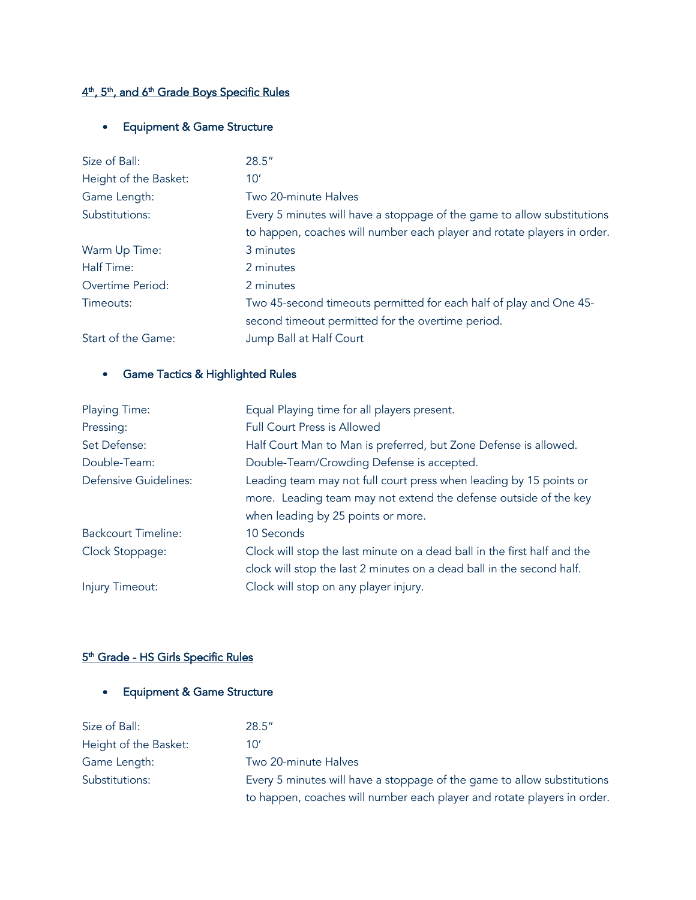### 4th, 5th, and 6th Grade Boys Specific Rules

# • Equipment & Game Structure

| Size of Ball:         | 28.5"                                                                   |
|-----------------------|-------------------------------------------------------------------------|
| Height of the Basket: | 10'                                                                     |
| Game Length:          | Two 20-minute Halves                                                    |
| Substitutions:        | Every 5 minutes will have a stoppage of the game to allow substitutions |
|                       | to happen, coaches will number each player and rotate players in order. |
| Warm Up Time:         | 3 minutes                                                               |
| Half Time:            | 2 minutes                                                               |
| Overtime Period:      | 2 minutes                                                               |
| Timeouts:             | Two 45-second timeouts permitted for each half of play and One 45-      |
|                       | second timeout permitted for the overtime period.                       |
| Start of the Game:    | Jump Ball at Half Court                                                 |

### • Game Tactics & Highlighted Rules

| Playing Time:              | Equal Playing time for all players present.                              |
|----------------------------|--------------------------------------------------------------------------|
| Pressing:                  | <b>Full Court Press is Allowed</b>                                       |
| Set Defense:               | Half Court Man to Man is preferred, but Zone Defense is allowed.         |
| Double-Team:               | Double-Team/Crowding Defense is accepted.                                |
| Defensive Guidelines:      | Leading team may not full court press when leading by 15 points or       |
|                            | more. Leading team may not extend the defense outside of the key         |
|                            | when leading by 25 points or more.                                       |
| <b>Backcourt Timeline:</b> | 10 Seconds                                                               |
| Clock Stoppage:            | Clock will stop the last minute on a dead ball in the first half and the |
|                            | clock will stop the last 2 minutes on a dead ball in the second half.    |
| Injury Timeout:            | Clock will stop on any player injury.                                    |

### 5<sup>th</sup> Grade - HS Girls Specific Rules

# • Equipment & Game Structure

| Size of Ball:         | 28.5''                                                                  |
|-----------------------|-------------------------------------------------------------------------|
| Height of the Basket: | 10'                                                                     |
| Game Length:          | Two 20-minute Halves                                                    |
| Substitutions:        | Every 5 minutes will have a stoppage of the game to allow substitutions |
|                       | to happen, coaches will number each player and rotate players in order. |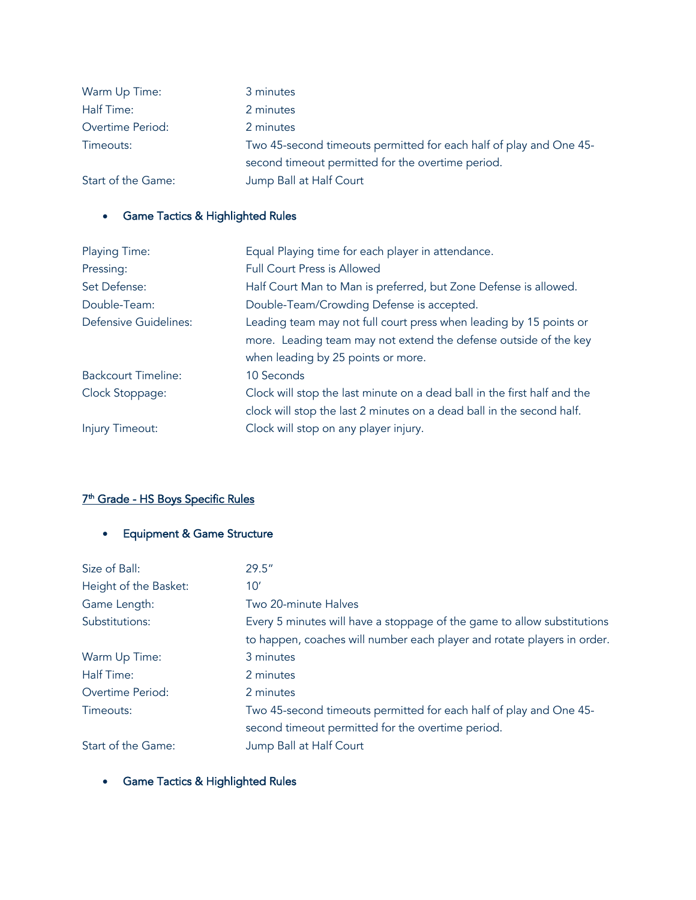| Warm Up Time:      | 3 minutes                                                          |
|--------------------|--------------------------------------------------------------------|
| Half Time:         | 2 minutes                                                          |
| Overtime Period:   | 2 minutes                                                          |
| Timeouts:          | Two 45-second timeouts permitted for each half of play and One 45- |
|                    | second timeout permitted for the overtime period.                  |
| Start of the Game: | Jump Ball at Half Court                                            |

# • Game Tactics & Highlighted Rules

| <b>Playing Time:</b>       | Equal Playing time for each player in attendance.                        |
|----------------------------|--------------------------------------------------------------------------|
| Pressing:                  | <b>Full Court Press is Allowed</b>                                       |
| Set Defense:               | Half Court Man to Man is preferred, but Zone Defense is allowed.         |
| Double-Team:               | Double-Team/Crowding Defense is accepted.                                |
| Defensive Guidelines:      | Leading team may not full court press when leading by 15 points or       |
|                            | more. Leading team may not extend the defense outside of the key         |
|                            | when leading by 25 points or more.                                       |
| <b>Backcourt Timeline:</b> | 10 Seconds                                                               |
| Clock Stoppage:            | Clock will stop the last minute on a dead ball in the first half and the |
|                            | clock will stop the last 2 minutes on a dead ball in the second half.    |
| Injury Timeout:            | Clock will stop on any player injury.                                    |

# 7<sup>th</sup> Grade - HS Boys Specific Rules

# • Equipment & Game Structure

| Size of Ball:         | 29.5''                                                                  |
|-----------------------|-------------------------------------------------------------------------|
| Height of the Basket: | 10'                                                                     |
| Game Length:          | Two 20-minute Halves                                                    |
| Substitutions:        | Every 5 minutes will have a stoppage of the game to allow substitutions |
|                       | to happen, coaches will number each player and rotate players in order. |
| Warm Up Time:         | 3 minutes                                                               |
| Half Time:            | 2 minutes                                                               |
| Overtime Period:      | 2 minutes                                                               |
| Timeouts:             | Two 45-second timeouts permitted for each half of play and One 45-      |
|                       | second timeout permitted for the overtime period.                       |
| Start of the Game:    | Jump Ball at Half Court                                                 |

• Game Tactics & Highlighted Rules